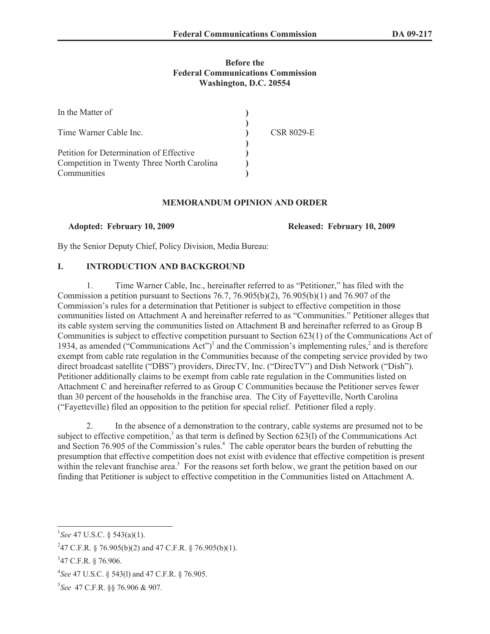#### **Before the Federal Communications Commission Washington, D.C. 20554**

| In the Matter of                                                                      |                   |
|---------------------------------------------------------------------------------------|-------------------|
| Time Warner Cable Inc.                                                                | <b>CSR 8029-E</b> |
| Petition for Determination of Effective<br>Competition in Twenty Three North Carolina |                   |
| Communities                                                                           |                   |

#### **MEMORANDUM OPINION AND ORDER**

**Adopted: February 10, 2009 Released: February 10, 2009**

By the Senior Deputy Chief, Policy Division, Media Bureau:

#### **I. INTRODUCTION AND BACKGROUND**

1. Time Warner Cable, Inc., hereinafter referred to as "Petitioner," has filed with the Commission a petition pursuant to Sections 76.7, 76.905(b)(2), 76.905(b)(1) and 76.907 of the Commission's rules for a determination that Petitioner is subject to effective competition in those communities listed on Attachment A and hereinafter referred to as "Communities." Petitioner alleges that its cable system serving the communities listed on Attachment B and hereinafter referred to as Group B Communities is subject to effective competition pursuant to Section 623(1) of the Communications Act of 1934, as amended ("Communications Act")<sup>1</sup> and the Commission's implementing rules,<sup>2</sup> and is therefore exempt from cable rate regulation in the Communities because of the competing service provided by two direct broadcast satellite ("DBS") providers, DirecTV, Inc. ("DirecTV") and Dish Network ("Dish"). Petitioner additionally claims to be exempt from cable rate regulation in the Communities listed on Attachment C and hereinafter referred to as Group C Communities because the Petitioner serves fewer than 30 percent of the households in the franchise area. The City of Fayetteville, North Carolina ("Fayetteville) filed an opposition to the petition for special relief. Petitioner filed a reply.

2. In the absence of a demonstration to the contrary, cable systems are presumed not to be subject to effective competition,<sup>3</sup> as that term is defined by Section 623(1) of the Communications Act and Section 76.905 of the Commission's rules.<sup>4</sup> The cable operator bears the burden of rebutting the presumption that effective competition does not exist with evidence that effective competition is present within the relevant franchise area.<sup>5</sup> For the reasons set forth below, we grant the petition based on our finding that Petitioner is subject to effective competition in the Communities listed on Attachment A.

<sup>1</sup> *See* 47 U.S.C. § 543(a)(1).

<sup>&</sup>lt;sup>2</sup>47 C.F.R. § 76.905(b)(2) and 47 C.F.R. § 76.905(b)(1).

<sup>&</sup>lt;sup>3</sup>47 C.F.R. § 76.906.

<sup>4</sup> *See* 47 U.S.C. § 543(l) and 47 C.F.R. § 76.905.

<sup>5</sup> *See* 47 C.F.R. §§ 76.906 & 907.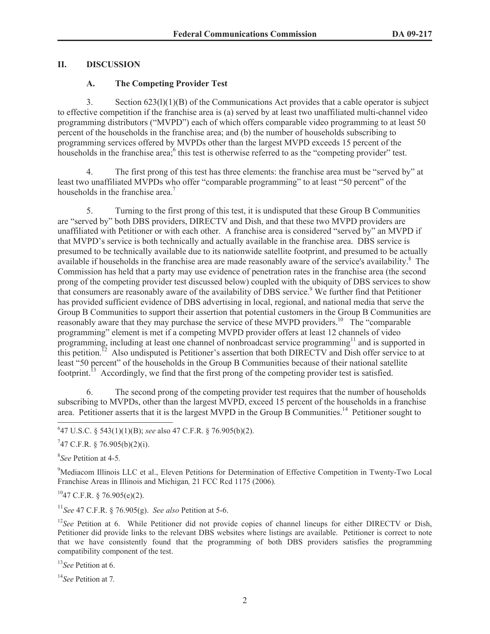# **II. DISCUSSION**

### **A. The Competing Provider Test**

3. Section 623(l)(1)(B) of the Communications Act provides that a cable operator is subject to effective competition if the franchise area is (a) served by at least two unaffiliated multi-channel video programming distributors ("MVPD") each of which offers comparable video programming to at least 50 percent of the households in the franchise area; and (b) the number of households subscribing to programming services offered by MVPDs other than the largest MVPD exceeds 15 percent of the households in the franchise area;<sup>6</sup> this test is otherwise referred to as the "competing provider" test.

4. The first prong of this test has three elements: the franchise area must be "served by" at least two unaffiliated MVPDs who offer "comparable programming" to at least "50 percent" of the households in the franchise area.<sup>7</sup>

5. Turning to the first prong of this test, it is undisputed that these Group B Communities are "served by" both DBS providers, DIRECTV and Dish, and that these two MVPD providers are unaffiliated with Petitioner or with each other. A franchise area is considered "served by" an MVPD if that MVPD's service is both technically and actually available in the franchise area. DBS service is presumed to be technically available due to its nationwide satellite footprint, and presumed to be actually available if households in the franchise area are made reasonably aware of the service's availability.<sup>8</sup> The Commission has held that a party may use evidence of penetration rates in the franchise area (the second prong of the competing provider test discussed below) coupled with the ubiquity of DBS services to show that consumers are reasonably aware of the availability of DBS service.<sup>9</sup> We further find that Petitioner has provided sufficient evidence of DBS advertising in local, regional, and national media that serve the Group B Communities to support their assertion that potential customers in the Group B Communities are reasonably aware that they may purchase the service of these MVPD providers.<sup>10</sup> The "comparable" programming" element is met if a competing MVPD provider offers at least 12 channels of video programming, including at least one channel of nonbroadcast service programming<sup>11</sup> and is supported in this petition.<sup>12</sup> Also undisputed is Petitioner's assertion that both DIRECTV and Dish offer service to at least "50 percent" of the households in the Group B Communities because of their national satellite footprint.<sup>13</sup> Accordingly, we find that the first prong of the competing provider test is satisfied.

6. The second prong of the competing provider test requires that the number of households subscribing to MVPDs, other than the largest MVPD, exceed 15 percent of the households in a franchise area. Petitioner asserts that it is the largest MVPD in the Group B Communities.<sup>14</sup> Petitioner sought to

6 47 U.S.C. § 543(1)(1)(B); *see* also 47 C.F.R. § 76.905(b)(2).

 $747$  C.F.R. § 76.905(b)(2)(i).

8 *See* Petition at 4-5*.*

<sup>9</sup>Mediacom Illinois LLC et al., Eleven Petitions for Determination of Effective Competition in Twenty-Two Local Franchise Areas in Illinois and Michigan*,* 21 FCC Rcd 1175 (2006)*.*

 $1047$  C.F.R. § 76.905(e)(2).

<sup>11</sup>*See* 47 C.F.R. § 76.905(g). *See also* Petition at 5-6.

<sup>12</sup>See Petition at 6. While Petitioner did not provide copies of channel lineups for either DIRECTV or Dish, Petitioner did provide links to the relevant DBS websites where listings are available. Petitioner is correct to note that we have consistently found that the programming of both DBS providers satisfies the programming compatibility component of the test.

<sup>13</sup>*See* Petition at 6.

<sup>14</sup>*See* Petition at 7*.*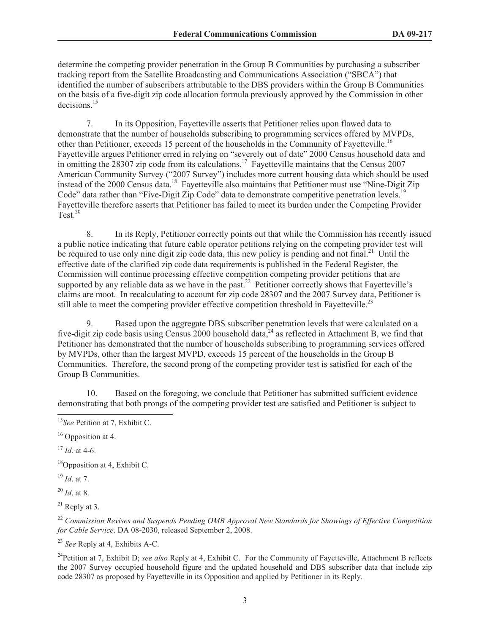determine the competing provider penetration in the Group B Communities by purchasing a subscriber tracking report from the Satellite Broadcasting and Communications Association ("SBCA") that identified the number of subscribers attributable to the DBS providers within the Group B Communities on the basis of a five-digit zip code allocation formula previously approved by the Commission in other decisions.<sup>15</sup>

7. In its Opposition, Fayetteville asserts that Petitioner relies upon flawed data to demonstrate that the number of households subscribing to programming services offered by MVPDs, other than Petitioner, exceeds 15 percent of the households in the Community of Fayetteville.<sup>16</sup> Fayetteville argues Petitioner erred in relying on "severely out of date" 2000 Census household data and in omitting the 28307 zip code from its calculations.<sup>17</sup> Fayetteville maintains that the Census 2007 American Community Survey ("2007 Survey") includes more current housing data which should be used instead of the 2000 Census data.<sup>18</sup> Fayetteville also maintains that Petitioner must use "Nine-Digit Zip Code" data rather than "Five-Digit Zip Code" data to demonstrate competitive penetration levels.<sup>19</sup> Fayetteville therefore asserts that Petitioner has failed to meet its burden under the Competing Provider Test. $20$ 

8. In its Reply, Petitioner correctly points out that while the Commission has recently issued a public notice indicating that future cable operator petitions relying on the competing provider test will be required to use only nine digit zip code data, this new policy is pending and not final.<sup>21</sup> Until the effective date of the clarified zip code data requirements is published in the Federal Register, the Commission will continue processing effective competition competing provider petitions that are supported by any reliable data as we have in the past.<sup>22</sup> Petitioner correctly shows that Fayetteville's claims are moot. In recalculating to account for zip code 28307 and the 2007 Survey data, Petitioner is still able to meet the competing provider effective competition threshold in Fayetteville.<sup>23</sup>

9. Based upon the aggregate DBS subscriber penetration levels that were calculated on a five-digit zip code basis using Census 2000 household data,<sup>24</sup> as reflected in Attachment B, we find that Petitioner has demonstrated that the number of households subscribing to programming services offered by MVPDs, other than the largest MVPD, exceeds 15 percent of the households in the Group B Communities. Therefore, the second prong of the competing provider test is satisfied for each of the Group B Communities.

10. Based on the foregoing, we conclude that Petitioner has submitted sufficient evidence demonstrating that both prongs of the competing provider test are satisfied and Petitioner is subject to

 $17$  *Id.* at 4-6.

<sup>18</sup>Opposition at 4, Exhibit C.

<sup>19</sup> *Id*. at 7.

<sup>20</sup> *Id*. at 8.

 $21$  Reply at 3.

<sup>22</sup> *Commission Revises and Suspends Pending OMB Approval New Standards for Showings of Effective Competition for Cable Service,* DA 08-2030, released September 2, 2008.

<sup>23</sup> *See* Reply at 4, Exhibits A-C.

<sup>24</sup>Petition at 7, Exhibit D; *see also* Reply at 4, Exhibit C. For the Community of Fayetteville, Attachment B reflects the 2007 Survey occupied household figure and the updated household and DBS subscriber data that include zip code 28307 as proposed by Fayetteville in its Opposition and applied by Petitioner in its Reply.

<sup>15</sup>*See* Petition at 7, Exhibit C.

<sup>&</sup>lt;sup>16</sup> Opposition at 4.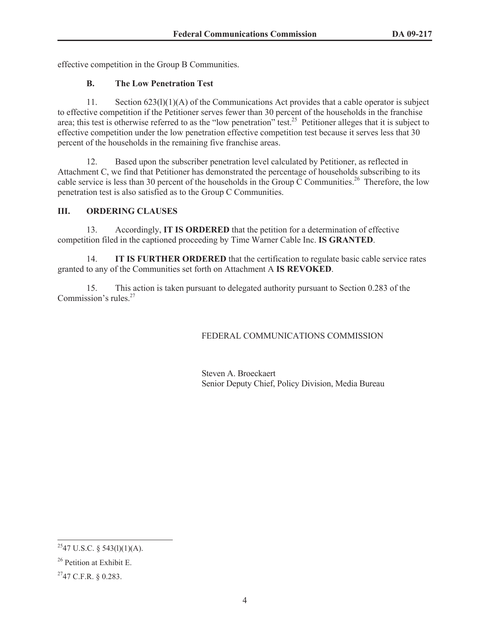effective competition in the Group B Communities.

## **B. The Low Penetration Test**

11. Section 623(l)(1)(A) of the Communications Act provides that a cable operator is subject to effective competition if the Petitioner serves fewer than 30 percent of the households in the franchise area; this test is otherwise referred to as the "low penetration" test.<sup>25</sup> Petitioner alleges that it is subject to effective competition under the low penetration effective competition test because it serves less that 30 percent of the households in the remaining five franchise areas.

12. Based upon the subscriber penetration level calculated by Petitioner, as reflected in Attachment C, we find that Petitioner has demonstrated the percentage of households subscribing to its cable service is less than 30 percent of the households in the Group  $\tilde{C}$  Communities.<sup>26</sup> Therefore, the low penetration test is also satisfied as to the Group C Communities.

## **III. ORDERING CLAUSES**

13. Accordingly, **IT IS ORDERED** that the petition for a determination of effective competition filed in the captioned proceeding by Time Warner Cable Inc. **IS GRANTED**.

14. **IT IS FURTHER ORDERED** that the certification to regulate basic cable service rates granted to any of the Communities set forth on Attachment A **IS REVOKED**.

15. This action is taken pursuant to delegated authority pursuant to Section 0.283 of the Commission's rules.<sup>27</sup>

## FEDERAL COMMUNICATIONS COMMISSION

Steven A. Broeckaert Senior Deputy Chief, Policy Division, Media Bureau

 $2547$  U.S.C. § 543(1)(1)(A).

 $26$  Petition at Exhibit E.

 $^{27}$ 47 C.F.R. § 0.283.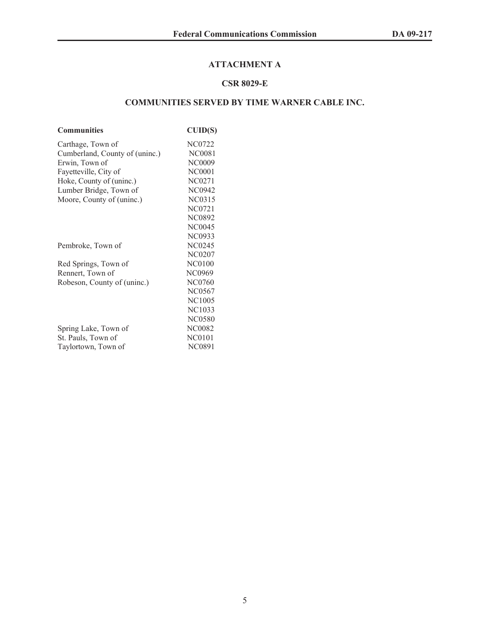# **ATTACHMENT A**

## **CSR 8029-E**

# **COMMUNITIES SERVED BY TIME WARNER CABLE INC.**

| <b>Communities</b>             | CUID(S)       |
|--------------------------------|---------------|
| Carthage, Town of              | NC0722        |
| Cumberland, County of (uninc.) | <b>NC0081</b> |
| Erwin, Town of                 | <b>NC0009</b> |
| Fayetteville, City of          | <b>NC0001</b> |
| Hoke, County of (uninc.)       | <b>NC0271</b> |
| Lumber Bridge, Town of         | <b>NC0942</b> |
| Moore, County of (uninc.)      | NC0315        |
|                                | NC0721        |
|                                | NC0892        |
|                                | <b>NC0045</b> |
|                                | <b>NC0933</b> |
| Pembroke, Town of              | <b>NC0245</b> |
|                                | NC0207        |
| Red Springs, Town of           | <b>NC0100</b> |
| Rennert, Town of               | NC0969        |
| Robeson, County of (uninc.)    | NC0760        |
|                                | NC0567        |
|                                | <b>NC1005</b> |
|                                | NC1033        |
|                                | <b>NC0580</b> |
| Spring Lake, Town of           | <b>NC0082</b> |
| St. Pauls, Town of             | <b>NC0101</b> |
| Taylortown, Town of            | <b>NC0891</b> |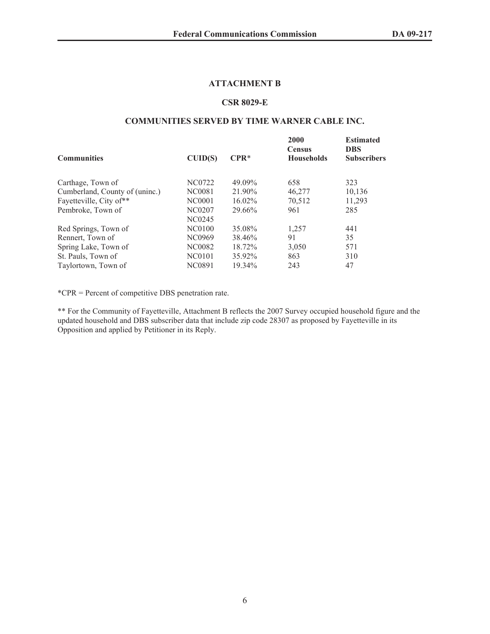#### **ATTACHMENT B**

#### **CSR 8029-E**

#### **COMMUNITIES SERVED BY TIME WARNER CABLE INC.**

| <b>Communities</b>             | CUID(S) | $CPR*$    | 2000<br><b>Census</b><br><b>Households</b> | <b>Estimated</b><br><b>DBS</b><br><b>Subscribers</b> |
|--------------------------------|---------|-----------|--------------------------------------------|------------------------------------------------------|
| Carthage, Town of              | NC0722  | 49.09%    | 658                                        | 323                                                  |
| Cumberland, County of (uninc.) | NC0081  | 21.90%    | 46,277                                     | 10,136                                               |
| Fayetteville, City of**        | NC0001  | $16.02\%$ | 70,512                                     | 11,293                                               |
| Pembroke, Town of              | NC0207  | 29.66%    | 961                                        | 285                                                  |
|                                | NC0245  |           |                                            |                                                      |
| Red Springs, Town of           | NC0100  | 35.08%    | 1,257                                      | 441                                                  |
| Rennert, Town of               | NC0969  | 38.46%    | 91                                         | 35                                                   |
| Spring Lake, Town of           | NC0082  | 18.72%    | 3,050                                      | 571                                                  |
| St. Pauls, Town of             | NC0101  | 35.92%    | 863                                        | 310                                                  |
| Taylortown, Town of            | NC0891  | 19.34%    | 243                                        | 47                                                   |

\*CPR = Percent of competitive DBS penetration rate.

\*\* For the Community of Fayetteville, Attachment B reflects the 2007 Survey occupied household figure and the updated household and DBS subscriber data that include zip code 28307 as proposed by Fayetteville in its Opposition and applied by Petitioner in its Reply.